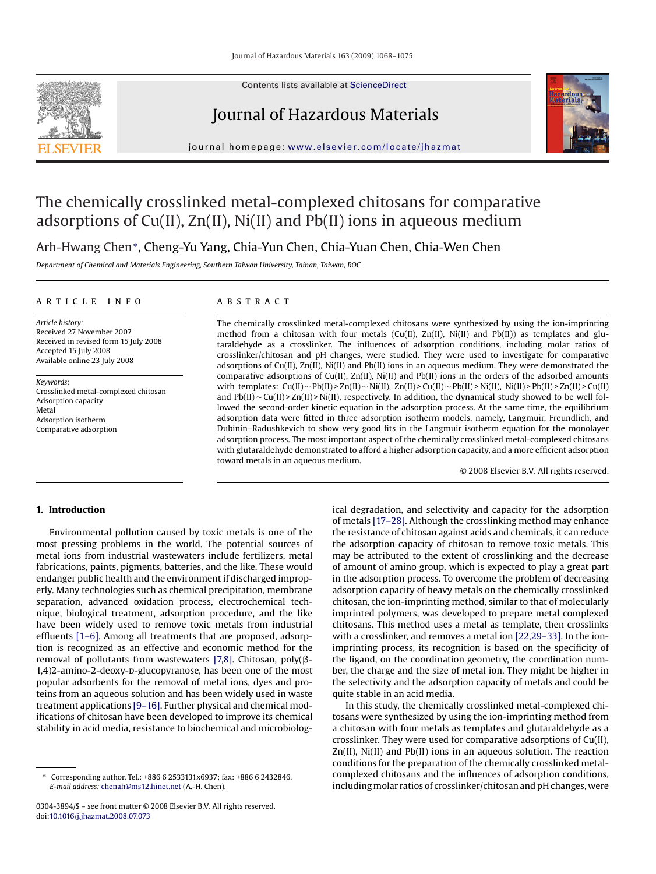Contents lists available at [ScienceDirect](http://www.sciencedirect.com/science/journal/03043894)

# Journal of Hazardous Materials

journal homepage: [www.elsevier.com/locate/jhazmat](http://www.elsevier.com/locate/jhazmat)



# The chemically crosslinked metal-complexed chitosans for comparative adsorptions of Cu(II), Zn(II), Ni(II) and Pb(II) ions in aqueous medium

Arh-Hwang Chen∗, Cheng-Yu Yang, Chia-Yun Chen, Chia-Yuan Chen, Chia-Wen Chen

*Department of Chemical and Materials Engineering, Southern Taiwan University, Tainan, Taiwan, ROC*

## article info

*Article history:* Received 27 November 2007 Received in revised form 15 July 2008 Accepted 15 July 2008 Available online 23 July 2008

*Keywords:* Crosslinked metal-complexed chitosan Adsorption capacity Metal Adsorption isotherm Comparative adsorption

# **ABSTRACT**

The chemically crosslinked metal-complexed chitosans were synthesized by using the ion-imprinting method from a chitosan with four metals (Cu(II),  $Zn(II)$ , Ni(II) and Pb(II)) as templates and glutaraldehyde as a crosslinker. The influences of adsorption conditions, including molar ratios of crosslinker/chitosan and pH changes, were studied. They were used to investigate for comparative adsorptions of Cu(II), Zn(II), Ni(II) and Pb(II) ions in an aqueous medium. They were demonstrated the comparative adsorptions of  $Cu(II)$ ,  $Zn(II)$ ,  $Ni(II)$  and  $Pb(II)$  ions in the orders of the adsorbed amounts with templates: Cu(II) ~ Pb(II) > Zn(II) ~ Ni(II), Zn(II) > Cu(II) ~ Pb(II) > Ni(II), Ni(II) > Pb(II) > Zn(II) > Cu(II) and Pb(II) ∼ Cu(II) > Zn(II) > Ni(II), respectively. In addition, the dynamical study showed to be well followed the second-order kinetic equation in the adsorption process. At the same time, the equilibrium adsorption data were fitted in three adsorption isotherm models, namely, Langmuir, Freundlich, and Dubinin–Radushkevich to show very good fits in the Langmuir isotherm equation for the monolayer adsorption process. The most important aspect of the chemically crosslinked metal-complexed chitosans with glutaraldehyde demonstrated to afford a higher adsorption capacity, and a more efficient adsorption toward metals in an aqueous medium.

© 2008 Elsevier B.V. All rights reserved.

# **1. Introduction**

Environmental pollution caused by toxic metals is one of the most pressing problems in the world. The potential sources of metal ions from industrial wastewaters include fertilizers, metal fabrications, paints, pigments, batteries, and the like. These would endanger public health and the environment if discharged improperly. Many technologies such as chemical precipitation, membrane separation, advanced oxidation process, electrochemical technique, biological treatment, adsorption procedure, and the like have been widely used to remove toxic metals from industrial effluents [\[1–6\].](#page-7-0) Among all treatments that are proposed, adsorption is recognized as an effective and economic method for the removal of pollutants from wastewaters [\[7,8\].](#page-7-0) Chitosan, poly( $\beta$ -1,4)2-amino-2-deoxy-p-glucopyranose, has been one of the most popular adsorbents for the removal of metal ions, dyes and proteins from an aqueous solution and has been widely used in waste treatment applications [\[9–16\]. F](#page-7-0)urther physical and chemical modifications of chitosan have been developed to improve its chemical stability in acid media, resistance to biochemical and microbiological degradation, and selectivity and capacity for the adsorption of metals [\[17–28\]. A](#page-7-0)lthough the crosslinking method may enhance the resistance of chitosan against acids and chemicals, it can reduce the adsorption capacity of chitosan to remove toxic metals. This may be attributed to the extent of crosslinking and the decrease of amount of amino group, which is expected to play a great part in the adsorption process. To overcome the problem of decreasing adsorption capacity of heavy metals on the chemically crosslinked chitosan, the ion-imprinting method, similar to that of molecularly imprinted polymers, was developed to prepare metal complexed chitosans. This method uses a metal as template, then crosslinks with a crosslinker, and removes a metal ion [\[22,29–33\]. I](#page-7-0)n the ionimprinting process, its recognition is based on the specificity of the ligand, on the coordination geometry, the coordination number, the charge and the size of metal ion. They might be higher in the selectivity and the adsorption capacity of metals and could be quite stable in an acid media.

In this study, the chemically crosslinked metal-complexed chitosans were synthesized by using the ion-imprinting method from a chitosan with four metals as templates and glutaraldehyde as a crosslinker. They were used for comparative adsorptions of Cu(II), Zn(II), Ni(II) and Pb(II) ions in an aqueous solution. The reaction conditions for the preparation of the chemically crosslinked metalcomplexed chitosans and the influences of adsorption conditions, including molar ratios of crosslinker/chitosan and pH changes, were

<sup>∗</sup> Corresponding author. Tel.: +886 6 2533131x6937; fax: +886 6 2432846. *E-mail address:* [chenah@ms12.hinet.net](mailto:chenah@ms12.hinet.net) (A.-H. Chen).

<sup>0304-3894/\$ –</sup> see front matter © 2008 Elsevier B.V. All rights reserved. doi:[10.1016/j.jhazmat.2008.07.073](dx.doi.org/10.1016/j.jhazmat.2008.07.073)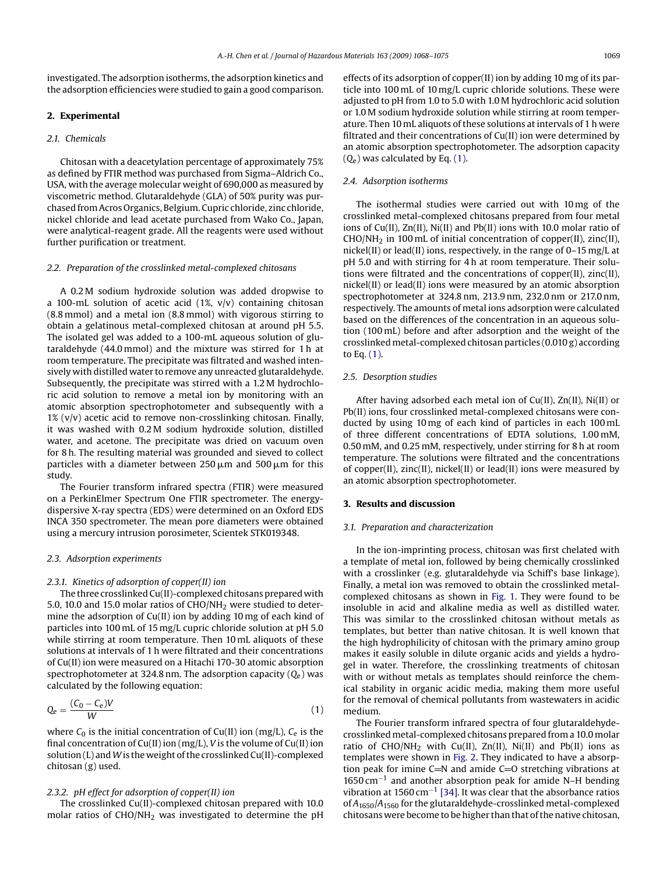investigated. The adsorption isotherms, the adsorption kinetics and the adsorption efficiencies were studied to gain a good comparison.

#### **2. Experimental**

#### *2.1. Chemicals*

Chitosan with a deacetylation percentage of approximately 75% as defined by FTIR method was purchased from Sigma–Aldrich Co., USA, with the average molecular weight of 690,000 as measured by viscometric method. Glutaraldehyde (GLA) of 50% purity was purchased from Acros Organics, Belgium. Cupric chloride, zinc chloride, nickel chloride and lead acetate purchased from Wako Co., Japan, were analytical-reagent grade. All the reagents were used without further purification or treatment.

#### *2.2. Preparation of the crosslinked metal-complexed chitosans*

A 0.2 M sodium hydroxide solution was added dropwise to a 100-mL solution of acetic acid  $(1\% , v/v)$  containing chitosan (8.8 mmol) and a metal ion (8.8 mmol) with vigorous stirring to obtain a gelatinous metal-complexed chitosan at around pH 5.5. The isolated gel was added to a 100-mL aqueous solution of glutaraldehyde (44.0 mmol) and the mixture was stirred for 1 h at room temperature. The precipitate was filtrated and washed intensively with distilled water to remove any unreacted glutaraldehyde. Subsequently, the precipitate was stirred with a 1.2 M hydrochloric acid solution to remove a metal ion by monitoring with an atomic absorption spectrophotometer and subsequently with a  $1\%$  (v/v) acetic acid to remove non-crosslinking chitosan. Finally, it was washed with 0.2 M sodium hydroxide solution, distilled water, and acetone. The precipitate was dried on vacuum oven for 8 h. The resulting material was grounded and sieved to collect particles with a diameter between  $250 \,\mu m$  and  $500 \,\mu m$  for this study.

The Fourier transform infrared spectra (FTIR) were measured on a PerkinElmer Spectrum One FTIR spectrometer. The energydispersive X-ray spectra (EDS) were determined on an Oxford EDS INCA 350 spectrometer. The mean pore diameters were obtained using a mercury intrusion porosimeter, Scientek STK019348.

### *2.3. Adsorption experiments*

#### *2.3.1. Kinetics of adsorption of copper(II) ion*

The three crosslinked Cu(II)-complexed chitosans prepared with 5.0, 10.0 and 15.0 molar ratios of CHO/NH<sub>2</sub> were studied to determine the adsorption of Cu(II) ion by adding 10 mg of each kind of particles into 100 mL of 15 mg/L cupric chloride solution at pH 5.0 while stirring at room temperature. Then 10 mL aliquots of these solutions at intervals of 1 h were filtrated and their concentrations of Cu(II) ion were measured on a Hitachi 170-30 atomic absorption spectrophotometer at 324.8 nm. The adsorption capacity (*Q*e) was calculated by the following equation:

$$
Q_e = \frac{(C_0 - C_e)V}{W} \tag{1}
$$

where  $C_0$  is the initial concentration of  $Cu(II)$  ion (mg/L),  $C_e$  is the final concentration of Cu(II) ion (mg/L), *V* is the volume of Cu(II) ion solution (L) and*W*is the weight of the crosslinked Cu(II)-complexed chitosan (g) used.

#### *2.3.2. pH effect for adsorption of copper(II) ion*

The crosslinked Cu(II)-complexed chitosan prepared with 10.0 molar ratios of CHO/NH<sub>2</sub> was investigated to determine the pH effects of its adsorption of copper(II) ion by adding 10 mg of its particle into 100 mL of 10 mg/L cupric chloride solutions. These were adjusted to pH from 1.0 to 5.0 with 1.0 M hydrochloric acid solution or 1.0 M sodium hydroxide solution while stirring at room temperature. Then 10 mL aliquots of these solutions at intervals of 1 h were filtrated and their concentrations of Cu(II) ion were determined by an atomic absorption spectrophotometer. The adsorption capacity (*Q*e) was calculated by Eq. (1).

#### *2.4. Adsorption isotherms*

The isothermal studies were carried out with 10 mg of the crosslinked metal-complexed chitosans prepared from four metal ions of Cu(II), Zn(II), Ni(II) and Pb(II) ions with 10.0 molar ratio of  $CHO/NH<sub>2</sub>$  in 100 mL of initial concentration of copper(II), zinc(II), nickel(II) or lead(II) ions, respectively, in the range of 0–15 mg/L at pH 5.0 and with stirring for 4 h at room temperature. Their solutions were filtrated and the concentrations of copper(II), zinc(II), nickel(II) or lead(II) ions were measured by an atomic absorption spectrophotometer at 324.8 nm, 213.9 nm, 232.0 nm or 217.0 nm, respectively. The amounts of metal ions adsorption were calculated based on the differences of the concentration in an aqueous solution (100 mL) before and after adsorption and the weight of the crosslinked metal-complexed chitosan particles (0.010 g) according to Eq. (1).

### *2.5. Desorption studies*

After having adsorbed each metal ion of Cu(II), Zn(II), Ni(II) or Pb(II) ions, four crosslinked metal-complexed chitosans were conducted by using 10 mg of each kind of particles in each 100 mL of three different concentrations of EDTA solutions, 1.00 mM, 0.50 mM, and 0.25 mM, respectively, under stirring for 8 h at room temperature. The solutions were filtrated and the concentrations of copper(II), zinc(II), nickel(II) or lead(II) ions were measured by an atomic absorption spectrophotometer.

#### **3. Results and discussion**

#### *3.1. Preparation and characterization*

In the ion-imprinting process, chitosan was first chelated with a template of metal ion, followed by being chemically crosslinked with a crosslinker (e.g. glutaraldehyde via Schiff's base linkage). Finally, a metal ion was removed to obtain the crosslinked metalcomplexed chitosans as shown in [Fig. 1.](#page-2-0) They were found to be insoluble in acid and alkaline media as well as distilled water. This was similar to the crosslinked chitosan without metals as templates, but better than native chitosan. It is well known that the high hydrophilicity of chitosan with the primary amino group makes it easily soluble in dilute organic acids and yields a hydrogel in water. Therefore, the crosslinking treatments of chitosan with or without metals as templates should reinforce the chemical stability in organic acidic media, making them more useful for the removal of chemical pollutants from wastewaters in acidic medium.

The Fourier transform infrared spectra of four glutaraldehydecrosslinked metal-complexed chitosans prepared from a 10.0 molar ratio of CHO/NH<sub>2</sub> with Cu(II), Zn(II), Ni(II) and Pb(II) ions as templates were shown in [Fig. 2. T](#page-3-0)hey indicated to have a absorption peak for imine  $C=N$  and amide  $C=O$  stretching vibrations at 1650 cm−<sup>1</sup> and another absorption peak for amide N–H bending vibration at 1560 cm<sup>-1</sup> [\[34\]. I](#page-7-0)t was clear that the absorbance ratios of *A*1650/*A*<sup>1560</sup> for the glutaraldehyde-crosslinked metal-complexed chitosans were become to be higher than that of the native chitosan,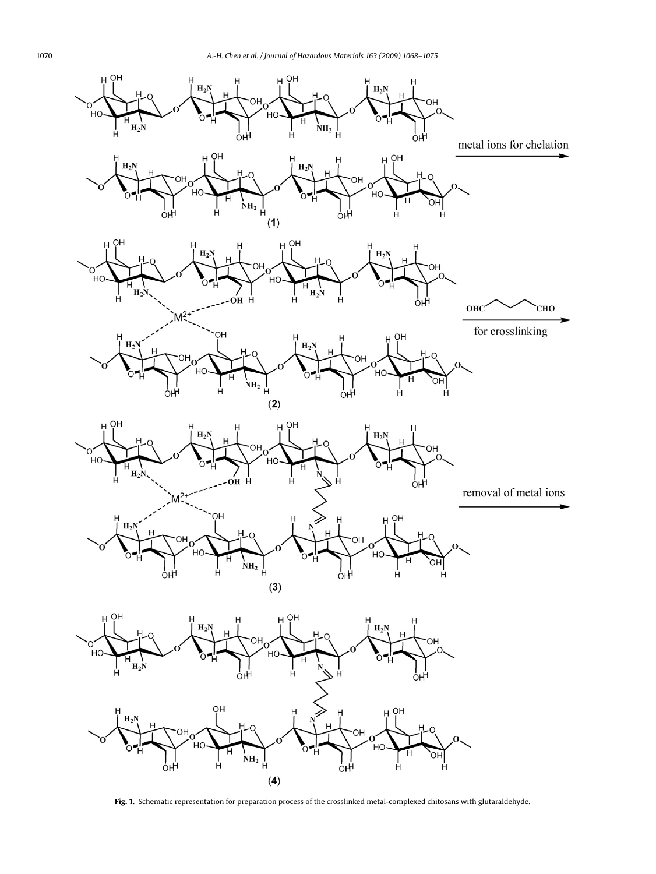<span id="page-2-0"></span>

**Fig. 1.** Schematic representation for preparation process of the crosslinked metal-complexed chitosans with glutaraldehyde.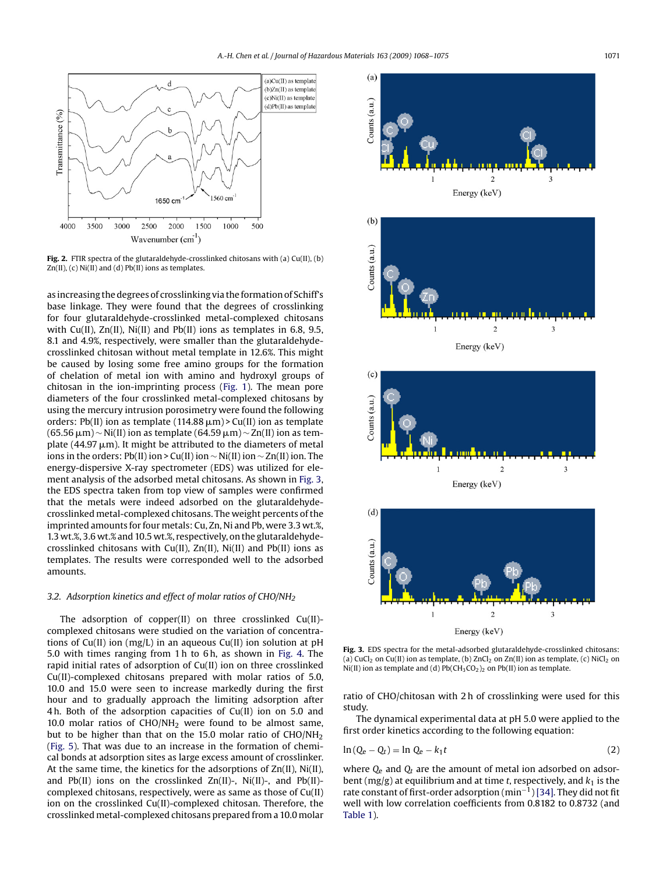<span id="page-3-0"></span>

**Fig. 2.** FTIR spectra of the glutaraldehyde-crosslinked chitosans with (a) Cu(II), (b)  $Zn(II)$ , (c)  $Ni(II)$  and (d)  $Pb(II)$  ions as templates.

as increasing the degrees of crosslinking via the formation of Schiff's base linkage. They were found that the degrees of crosslinking for four glutaraldehyde-crosslinked metal-complexed chitosans with Cu(II), Zn(II), Ni(II) and Pb(II) ions as templates in 6.8, 9.5, 8.1 and 4.9%, respectively, were smaller than the glutaraldehydecrosslinked chitosan without metal template in 12.6%. This might be caused by losing some free amino groups for the formation of chelation of metal ion with amino and hydroxyl groups of chitosan in the ion-imprinting process ([Fig. 1\).](#page-2-0) The mean pore diameters of the four crosslinked metal-complexed chitosans by using the mercury intrusion porosimetry were found the following orders: Pb(II) ion as template  $(114.88 \,\mu\text{m})$  > Cu(II) ion as template (65.56 μm) ~ Ni(II) ion as template (64.59 μm) ~ Zn(II) ion as template (44.97  $\mu$ m). It might be attributed to the diameters of metal ions in the orders: Pb(II) ion > Cu(II) ion  $\sim$  Ni(II) ion  $\sim$  Zn(II) ion. The energy-dispersive X-ray spectrometer (EDS) was utilized for element analysis of the adsorbed metal chitosans. As shown in Fig. 3, the EDS spectra taken from top view of samples were confirmed that the metals were indeed adsorbed on the glutaraldehydecrosslinked metal-complexed chitosans. The weight percents of the imprinted amounts for four metals: Cu, Zn, Ni and Pb, were 3.3 wt.%, 1.3 wt.%, 3.6 wt.% and 10.5 wt.%, respectively, on the glutaraldehydecrosslinked chitosans with Cu(II),  $\text{Zn(II)}$ , Ni(II) and Pb(II) ions as templates. The results were corresponded well to the adsorbed amounts.

### *3.2. Adsorption kinetics and effect of molar ratios of CHO/NH2*

The adsorption of copper(II) on three crosslinked Cu(II) complexed chitosans were studied on the variation of concentrations of Cu(II) ion (mg/L) in an aqueous Cu(II) ion solution at pH 5.0 with times ranging from 1 h to 6 h, as shown in [Fig. 4.](#page-4-0) The rapid initial rates of adsorption of Cu(II) ion on three crosslinked Cu(II)-complexed chitosans prepared with molar ratios of 5.0, 10.0 and 15.0 were seen to increase markedly during the first hour and to gradually approach the limiting adsorption after 4 h. Both of the adsorption capacities of Cu(II) ion on 5.0 and 10.0 molar ratios of  $CHO/NH<sub>2</sub>$  were found to be almost same, but to be higher than that on the 15.0 molar ratio of  $CHO/NH<sub>2</sub>$ ([Fig. 5\).](#page-4-0) That was due to an increase in the formation of chemical bonds at adsorption sites as large excess amount of crosslinker. At the same time, the kinetics for the adsorptions of Zn(II), Ni(II), and Pb(II) ions on the crosslinked  $Zn(II)$ -, Ni(II)-, and Pb(II)complexed chitosans, respectively, were as same as those of Cu(II) ion on the crosslinked Cu(II)-complexed chitosan. Therefore, the crosslinked metal-complexed chitosans prepared from a 10.0 molar



**Fig. 3.** EDS spectra for the metal-adsorbed glutaraldehyde-crosslinked chitosans: (a) CuCl<sub>2</sub> on Cu(II) ion as template, (b) ZnCl<sub>2</sub> on Zn(II) ion as template, (c) NiCl<sub>2</sub> on Ni(II) ion as template and (d) Pb( $CH_3CO_2$ )<sub>2</sub> on Pb(II) ion as template.

ratio of CHO/chitosan with 2 h of crosslinking were used for this study.

The dynamical experimental data at pH 5.0 were applied to the first order kinetics according to the following equation:

$$
\ln(Q_e - Q_t) = \ln Q_e - k_1 t \tag{2}
$$

where  $Q_e$  and  $Q_t$  are the amount of metal ion adsorbed on adsorbent (mg/g) at equilibrium and at time *t*, respectively, and  $k_1$  is the rate constant of first-order adsorption (min−1) [\[34\]. T](#page-7-0)hey did not fit well with low correlation coefficients from 0.8182 to 0.8732 (and [Table 1\).](#page-4-0)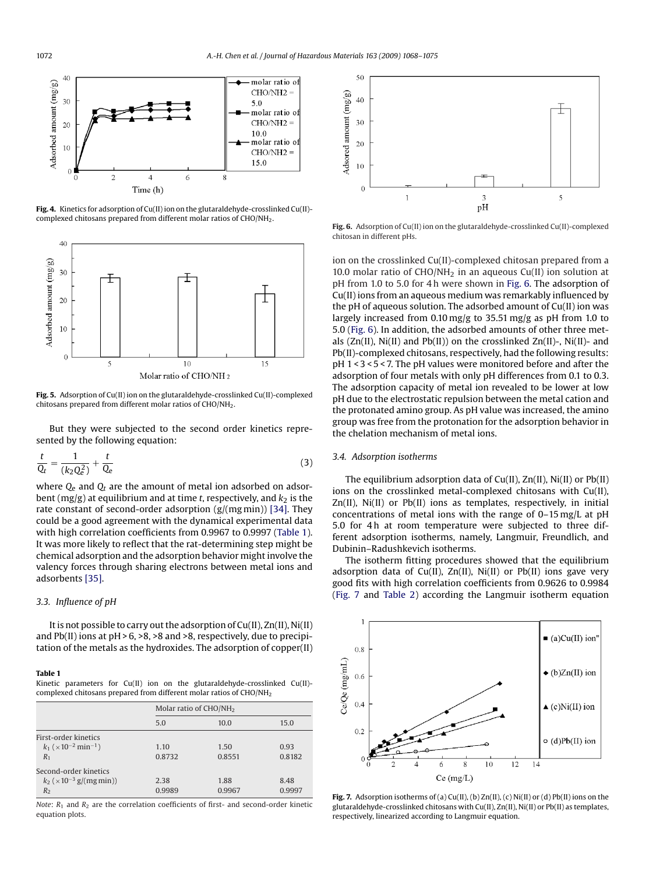<span id="page-4-0"></span>

**Fig. 4.** Kinetics for adsorption of Cu(II) ion on the glutaraldehyde-crosslinked Cu(II) complexed chitosans prepared from different molar ratios of CHO/NH2.



**Fig. 5.** Adsorption of Cu(II) ion on the glutaraldehyde-crosslinked Cu(II)-complexed chitosans prepared from different molar ratios of CHO/NH2.

But they were subjected to the second order kinetics represented by the following equation:

$$
\frac{t}{Q_t} = \frac{1}{(k_2 Q_e^2)} + \frac{t}{Q_e}
$$
\n(3)

where  $Q_e$  and  $Q_t$  are the amount of metal ion adsorbed on adsorbent ( $mg/g$ ) at equilibrium and at time *t*, respectively, and  $k<sub>2</sub>$  is the rate constant of second-order adsorption (g/(mg min)) [\[34\]. T](#page-7-0)hey could be a good agreement with the dynamical experimental data with high correlation coefficients from 0.9967 to 0.9997 (Table 1). It was more likely to reflect that the rat-determining step might be chemical adsorption and the adsorption behavior might involve the valency forces through sharing electrons between metal ions and adsorbents [\[35\].](#page-7-0)

# *3.3. Influence of pH*

It is not possible to carry out the adsorption of Cu(II), Zn(II), Ni(II) and Pb(II) ions at pH > 6, >8, >8 and >8, respectively, due to precipitation of the metals as the hydroxides. The adsorption of copper(II)

#### **Table 1**

Kinetic parameters for Cu(II) ion on the glutaraldehyde-crosslinked Cu(II) complexed chitosans prepared from different molar ratios of CHO/NH<sub>2</sub>

|                                                       | Molar ratio of $CHO/NH2$ |        |        |  |
|-------------------------------------------------------|--------------------------|--------|--------|--|
|                                                       | 5.0                      | 10.0   | 15.0   |  |
| First-order kinetics                                  |                          |        |        |  |
| $k_1$ ( $\times$ 10 <sup>-2</sup> min <sup>-1</sup> ) | 1.10                     | 1.50   | 0.93   |  |
| $R_1$                                                 | 0.8732                   | 0.8551 | 0.8182 |  |
| Second-order kinetics                                 |                          |        |        |  |
| $k_2$ ( $\times$ 10 <sup>-3</sup> g/(mg min))         | 2.38                     | 1.88   | 8.48   |  |
| R <sub>2</sub>                                        | 0.9989                   | 0.9967 | 0.9997 |  |

*Note*:  $R_1$  and  $R_2$  are the correlation coefficients of first- and second-order kinetic equation plots.



**Fig. 6.** Adsorption of Cu(II) ion on the glutaraldehyde-crosslinked Cu(II)-complexed chitosan in different pHs.

ion on the crosslinked Cu(II)-complexed chitosan prepared from a 10.0 molar ratio of  $CHO/NH<sub>2</sub>$  in an aqueous  $Cu(II)$  ion solution at pH from 1.0 to 5.0 for 4 h were shown in Fig. 6. The adsorption of Cu(II) ions from an aqueous medium was remarkably influenced by the pH of aqueous solution. The adsorbed amount of Cu(II) ion was largely increased from 0.10 mg/g to 35.51 mg/g as pH from 1.0 to 5.0 (Fig. 6). In addition, the adsorbed amounts of other three metals  $(Zn(II), Ni(II)$  and  $Pb(II))$  on the crosslinked  $Zn(II)$ -,  $Ni(II)$ - and Pb(II)-complexed chitosans, respectively, had the following results: pH 1 < 3 < 5 < 7. The pH values were monitored before and after the adsorption of four metals with only pH differences from 0.1 to 0.3. The adsorption capacity of metal ion revealed to be lower at low pH due to the electrostatic repulsion between the metal cation and the protonated amino group. As pH value was increased, the amino group was free from the protonation for the adsorption behavior in the chelation mechanism of metal ions.

# *3.4. Adsorption isotherms*

The equilibrium adsorption data of Cu(II), Zn(II), Ni(II) or Pb(II) ions on the crosslinked metal-complexed chitosans with Cu(II), Zn(II), Ni(II) or Pb(II) ions as templates, respectively, in initial concentrations of metal ions with the range of 0–15 mg/L at pH 5.0 for 4h at room temperature were subjected to three different adsorption isotherms, namely, Langmuir, Freundlich, and Dubinin–Radushkevich isotherms.

The isotherm fitting procedures showed that the equilibrium adsorption data of Cu(II), Zn(II), Ni(II) or Pb(II) ions gave very good fits with high correlation coefficients from 0.9626 to 0.9984 (Fig. 7 and [Table 2\)](#page-5-0) according the Langmuir isotherm equation



Fig. 7. Adsorption isotherms of (a) Cu(II), (b) Zn(II), (c) Ni(II) or (d) Pb(II) ions on the glutaraldehyde-crosslinked chitosans with Cu(II), Zn(II), Ni(II) or Pb(II) as templates, respectively, linearized according to Langmuir equation.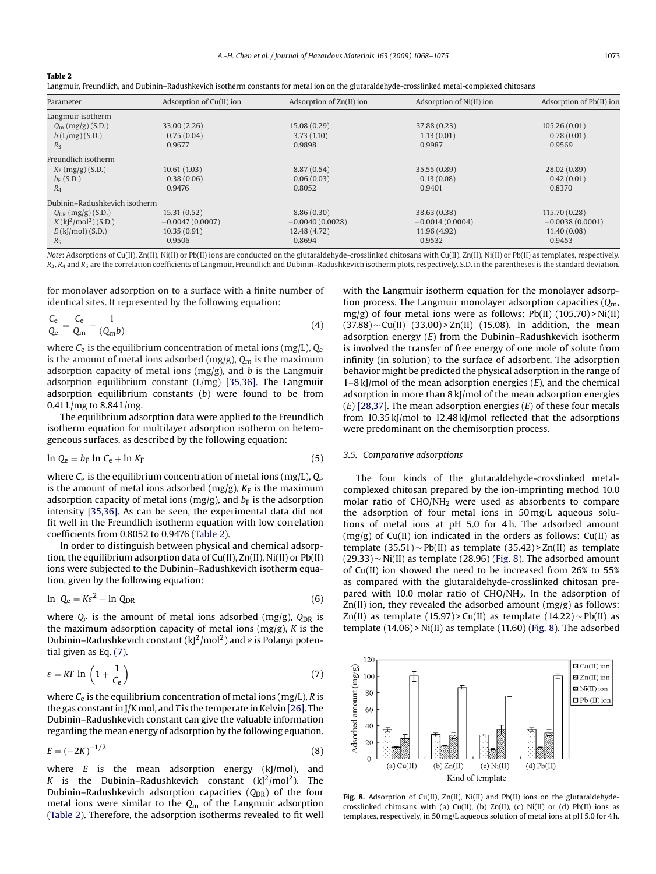<span id="page-5-0"></span>**Table 2**

Langmuir, Freundlich, and Dubinin–Radushkevich isotherm constants for metal ion on the glutaraldehyde-crosslinked metal-complexed chitosans

| Parameter                                      | Adsorption of Cu(II) ion | Adsorption of Zn(II) ion | Adsorption of Ni(II) ion | Adsorption of Pb(II) ion |
|------------------------------------------------|--------------------------|--------------------------|--------------------------|--------------------------|
| Langmuir isotherm                              |                          |                          |                          |                          |
| $Q_{\rm m}$ (mg/g) (S.D.)                      | 33.00 (2.26)             | 15.08(0.29)              | 37.88 (0.23)             | 105.26(0.01)             |
| $b(L/mg)$ (S.D.)                               | 0.75(0.04)               | 3.73(1.10)               | 1.13(0.01)               | 0.78(0.01)               |
| $R_3$                                          | 0.9677                   | 0.9898                   | 0.9987                   | 0.9569                   |
| Freundlich isotherm                            |                          |                          |                          |                          |
| $K_F$ (mg/g) (S.D.)                            | 10.61(1.03)              | 8.87(0.54)               | 35.55 (0.89)             | 28.02 (0.89)             |
| $b_F(S.D.)$                                    | 0.38(0.06)               | 0.06(0.03)               | 0.13(0.08)               | 0.42(0.01)               |
| $R_4$                                          | 0.9476                   | 0.8052                   | 0.9401                   | 0.8370                   |
| Dubinin-Radushkevich isotherm                  |                          |                          |                          |                          |
| $Q_{DR}$ (mg/g) (S.D.)                         | 15.31(0.52)              | 8.86(0.30)               | 38.63 (0.38)             | 115.70 (0.28)            |
| $K$ (k[ <sup>2</sup> /mol <sup>2</sup> )(S.D.) | $-0.0047(0.0007)$        | $-0.0040(0.0028)$        | $-0.0014(0.0004)$        | $-0.0038(0.0001)$        |
| $E$ (k[/mol) (S.D.)                            | 10.35(0.91)              | 12.48 (4.72)             | 11.96(4.92)              | 11.40(0.08)              |
| $R_5$                                          | 0.9506                   | 0.8694                   | 0.9532                   | 0.9453                   |

*Note*: Adsorptions of Cu(II), Zn(II), Ni(II) or Pb(II) ions are conducted on the glutaraldehyde-crosslinked chitosans with Cu(II), Zn(II), Ni(II) or Pb(II) as templates, respectively.  $R_3$ ,  $R_4$  and  $R_5$  are the correlation coefficients of Langmuir, Freundlich and Dubinin–Radushkevich isotherm plots, respectively. S.D. in the parentheses is the standard deviation.

for monolayer adsorption on to a surface with a finite number of identical sites. It represented by the following equation:

$$
\frac{C_e}{Q_e} = \frac{C_e}{Q_m} + \frac{1}{(Q_m b)}\tag{4}
$$

where *C*<sup>e</sup> is the equilibrium concentration of metal ions (mg/L), *Q*<sup>e</sup> is the amount of metal ions adsorbed (mg/g), *Q*<sup>m</sup> is the maximum adsorption capacity of metal ions (mg/g), and *b* is the Langmuir adsorption equilibrium constant (L/mg) [\[35,36\].](#page-7-0) The Langmuir adsorption equilibrium constants (*b*) were found to be from 0.41 L/mg to 8.84 L/mg.

The equilibrium adsorption data were applied to the Freundlich isotherm equation for multilayer adsorption isotherm on heterogeneous surfaces, as described by the following equation:

$$
\ln Q_e = b_F \ln C_e + \ln K_F \tag{5}
$$

where *C*<sup>e</sup> is the equilibrium concentration of metal ions (mg/L), *Q*<sup>e</sup> is the amount of metal ions adsorbed (mg/g),  $K_F$  is the maximum adsorption capacity of metal ions (mg/g), and  $b_F$  is the adsorption intensity [\[35,36\]. A](#page-7-0)s can be seen, the experimental data did not fit well in the Freundlich isotherm equation with low correlation coefficients from 0.8052 to 0.9476 (Table 2).

In order to distinguish between physical and chemical adsorption, the equilibrium adsorption data of Cu(II), Zn(II), Ni(II) or Pb(II) ions were subjected to the Dubinin–Radushkevich isotherm equation, given by the following equation:

$$
\ln Q_e = K\varepsilon^2 + \ln Q_{\text{DR}} \tag{6}
$$

where  $Q_e$  is the amount of metal ions adsorbed (mg/g),  $Q_{DR}$  is the maximum adsorption capacity of metal ions (mg/g), *K* is the Dubinin–Radushkevich constant (kJ<sup>2</sup>/mol<sup>2</sup>) and  $\varepsilon$  is Polanyi potential given as Eq. (7).

$$
\varepsilon = RT \ln \left( 1 + \frac{1}{C_{\rm e}} \right) \tag{7}
$$

where  $C_e$  is the equilibrium concentration of metal ions (mg/L),  $R$  is the gas constant in J/K mol, and *T* is the temperate in Kelvin [\[26\]. T](#page-7-0)he Dubinin–Radushkevich constant can give the valuable information regarding the mean energy of adsorption by the following equation.

$$
E = (-2K)^{-1/2}
$$
 (8)

where *E* is the mean adsorption energy (kJ/mol), and *K* is the Dubinin–Radushkevich constant  $(kJ^2/mol^2)$ . The Dubinin–Radushkevich adsorption capacities (Q<sub>DR</sub>) of the four metal ions were similar to the *Q*<sup>m</sup> of the Langmuir adsorption (Table 2). Therefore, the adsorption isotherms revealed to fit well with the Langmuir isotherm equation for the monolayer adsorption process. The Langmuir monolayer adsorption capacities (*Q*m, mg/g) of four metal ions were as follows:  $Pb(II)$  (105.70) > Ni(II)  $(37.88)$  ~ Cu(II)  $(33.00)$  > Zn(II)  $(15.08)$ . In addition, the mean adsorption energy (*E*) from the Dubinin–Radushkevich isotherm is involved the transfer of free energy of one mole of solute from infinity (in solution) to the surface of adsorbent. The adsorption behavior might be predicted the physical adsorption in the range of 1–8 kJ/mol of the mean adsorption energies (*E*), and the chemical adsorption in more than 8 kJ/mol of the mean adsorption energies (*E*) [\[28,37\]. T](#page-7-0)he mean adsorption energies (*E*) of these four metals from 10.35 kJ/mol to 12.48 kJ/mol reflected that the adsorptions were predominant on the chemisorption process.

#### *3.5. Comparative adsorptions*

The four kinds of the glutaraldehyde-crosslinked metalcomplexed chitosan prepared by the ion-imprinting method 10.0 molar ratio of CHO/NH2 were used as absorbents to compare the adsorption of four metal ions in 50 mg/L aqueous solutions of metal ions at pH 5.0 for 4 h. The adsorbed amount  $(mg/g)$  of Cu(II) ion indicated in the orders as follows: Cu(II) as template (35.51)  $\sim$  Pb(II) as template (35.42) > Zn(II) as template (29.33) ∼ Ni(II) as template (28.96) (Fig. 8). The adsorbed amount of Cu(II) ion showed the need to be increased from 26% to 55% as compared with the glutaraldehyde-crosslinked chitosan prepared with 10.0 molar ratio of  $CHO/NH<sub>2</sub>$ . In the adsorption of Zn(II) ion, they revealed the adsorbed amount (mg/g) as follows: Zn(II) as template (15.97) > Cu(II) as template (14.22)  $\sim$  Pb(II) as template (14.06) > Ni(II) as template (11.60) (Fig. 8). The adsorbed



Fig. 8. Adsorption of Cu(II), Zn(II), Ni(II) and Pb(II) ions on the glutaraldehydecrosslinked chitosans with (a) Cu(II), (b) Zn(II), (c) Ni(II) or (d) Pb(II) ions as templates, respectively, in 50 mg/L aqueous solution of metal ions at pH 5.0 for 4 h.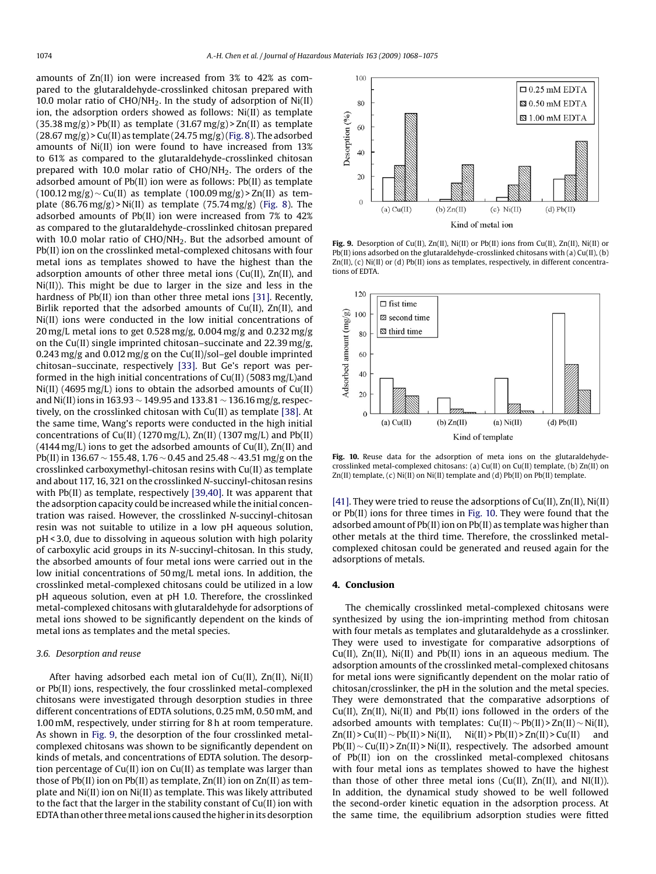amounts of Zn(II) ion were increased from 3% to 42% as compared to the glutaraldehyde-crosslinked chitosan prepared with 10.0 molar ratio of  $CHO/NH<sub>2</sub>$ . In the study of adsorption of  $Ni(II)$ ion, the adsorption orders showed as follows: Ni(II) as template  $(35.38 \text{ mg/g})$  > Pb(II) as template  $(31.67 \text{ mg/g})$  > Zn(II) as template  $(28.67 \text{ mg/g})$  > Cu(II) as template  $(24.75 \text{ mg/g})$  ([Fig. 8\).](#page-5-0) The adsorbed amounts of Ni(II) ion were found to have increased from 13% to 61% as compared to the glutaraldehyde-crosslinked chitosan prepared with 10.0 molar ratio of CHO/NH<sub>2</sub>. The orders of the adsorbed amount of Pb(II) ion were as follows: Pb(II) as template  $(100.12 \text{ mg/g}) \sim Cu(II)$  as template  $(100.09 \text{ mg/g}) > Zn(II)$  as template  $(86.76 \text{ mg/g})$  > Ni(II) as template  $(75.74 \text{ mg/g})$  [\(Fig. 8\)](#page-5-0). The adsorbed amounts of Pb(II) ion were increased from 7% to 42% as compared to the glutaraldehyde-crosslinked chitosan prepared with 10.0 molar ratio of  $CHO/NH<sub>2</sub>$ . But the adsorbed amount of Pb(II) ion on the crosslinked metal-complexed chitosans with four metal ions as templates showed to have the highest than the adsorption amounts of other three metal ions (Cu(II), Zn(II), and Ni(II)). This might be due to larger in the size and less in the hardness of Pb(II) ion than other three metal ions [\[31\]. R](#page-7-0)ecently, Birlik reported that the adsorbed amounts of Cu(II), Zn(II), and Ni(II) ions were conducted in the low initial concentrations of 20 mg/L metal ions to get 0.528 mg/g, 0.004 mg/g and 0.232 mg/g on the Cu(II) single imprinted chitosan–succinate and 22.39 mg/g, 0.243 mg/g and 0.012 mg/g on the Cu(II)/sol–gel double imprinted chitosan–succinate, respectively [\[33\].](#page-7-0) But Ge's report was performed in the high initial concentrations of Cu(II) (5083 mg/L)and Ni(II) (4695 mg/L) ions to obtain the adsorbed amounts of Cu(II) and Ni(II) ions in 163.93 ∼ 149.95 and 133.81 ∼ 136.16 mg/g, respectively, on the crosslinked chitosan with Cu(II) as template [\[38\]. A](#page-7-0)t the same time, Wang's reports were conducted in the high initial concentrations of  $Cu(II)$  (1270 mg/L), Zn(II) (1307 mg/L) and Pb(II)  $(4144 \text{ mg/L})$  ions to get the adsorbed amounts of Cu(II), Zn(II) and Pb(II) in 136.67 ∼ 155.48, 1.76 ∼ 0.45 and 25.48 ∼ 43.51 mg/g on the crosslinked carboxymethyl-chitosan resins with Cu(II) as template and about 117, 16, 321 on the crosslinked *N*-succinyl-chitosan resins with Pb(II) as template, respectively [\[39,40\]. I](#page-7-0)t was apparent that the adsorption capacity could be increased while the initial concentration was raised. However, the crosslinked *N*-succinyl-chitosan resin was not suitable to utilize in a low pH aqueous solution, pH < 3.0, due to dissolving in aqueous solution with high polarity of carboxylic acid groups in its *N*-succinyl-chitosan. In this study, the absorbed amounts of four metal ions were carried out in the low initial concentrations of 50 mg/L metal ions. In addition, the crosslinked metal-complexed chitosans could be utilized in a low pH aqueous solution, even at pH 1.0. Therefore, the crosslinked metal-complexed chitosans with glutaraldehyde for adsorptions of metal ions showed to be significantly dependent on the kinds of metal ions as templates and the metal species.

#### *3.6. Desorption and reuse*

After having adsorbed each metal ion of Cu(II), Zn(II), Ni(II) or Pb(II) ions, respectively, the four crosslinked metal-complexed chitosans were investigated through desorption studies in three different concentrations of EDTA solutions, 0.25 mM, 0.50 mM, and 1.00 mM, respectively, under stirring for 8 h at room temperature. As shown in Fig. 9, the desorption of the four crosslinked metalcomplexed chitosans was shown to be significantly dependent on kinds of metals, and concentrations of EDTA solution. The desorption percentage of Cu(II) ion on Cu(II) as template was larger than those of Pb(II) ion on Pb(II) as template, Zn(II) ion on Zn(II) as template and Ni(II) ion on Ni(II) as template. This was likely attributed to the fact that the larger in the stability constant of Cu(II) ion with EDTA than other threemetal ions caused the higher in its desorption



**Fig. 9.** Desorption of Cu(II), Zn(II), Ni(II) or Pb(II) ions from Cu(II), Zn(II), Ni(II) or Pb(II) ions adsorbed on the glutaraldehyde-crosslinked chitosans with (a) Cu(II), (b) Zn(II), (c) Ni(II) or (d) Pb(II) ions as templates, respectively, in different concentrations of EDTA.



Fig. 10. Reuse data for the adsorption of meta ions on the glutaraldehydecrosslinked metal-complexed chitosans: (a) Cu(II) on Cu(II) template, (b) Zn(II) on  $Zn(II)$  template, (c) Ni(II) on Ni(II) template and (d) Pb(II) on Pb(II) template.

[\[41\]. T](#page-7-0)hey were tried to reuse the adsorptions of Cu(II), Zn(II), Ni(II) or Pb(II) ions for three times in Fig. 10. They were found that the adsorbed amount of Pb(II) ion on Pb(II) as template was higher than other metals at the third time. Therefore, the crosslinked metalcomplexed chitosan could be generated and reused again for the adsorptions of metals.

### **4. Conclusion**

The chemically crosslinked metal-complexed chitosans were synthesized by using the ion-imprinting method from chitosan with four metals as templates and glutaraldehyde as a crosslinker. They were used to investigate for comparative adsorptions of  $Cu(II)$ ,  $Zn(II)$ ,  $Ni(II)$  and  $Pb(II)$  ions in an aqueous medium. The adsorption amounts of the crosslinked metal-complexed chitosans for metal ions were significantly dependent on the molar ratio of chitosan/crosslinker, the pH in the solution and the metal species. They were demonstrated that the comparative adsorptions of Cu(II), Zn(II), Ni(II) and Pb(II) ions followed in the orders of the adsorbed amounts with templates:  $Cu(II) \sim Pb(II) > Zn(II) \sim Ni(II)$ ,  $Zn(II) > Cu(II) \sim Pb(II) > Ni(II)$ ,  $Ni(II) > Pb(II) > Zn(II) > Cu(II)$  and Pb(II) ∼ Cu(II) > Zn(II) > Ni(II), respectively. The adsorbed amount of Pb(II) ion on the crosslinked metal-complexed chitosans with four metal ions as templates showed to have the highest than those of other three metal ions ( $Cu(II)$ ,  $Zn(II)$ , and  $NI(II)$ ). In addition, the dynamical study showed to be well followed the second-order kinetic equation in the adsorption process. At the same time, the equilibrium adsorption studies were fitted